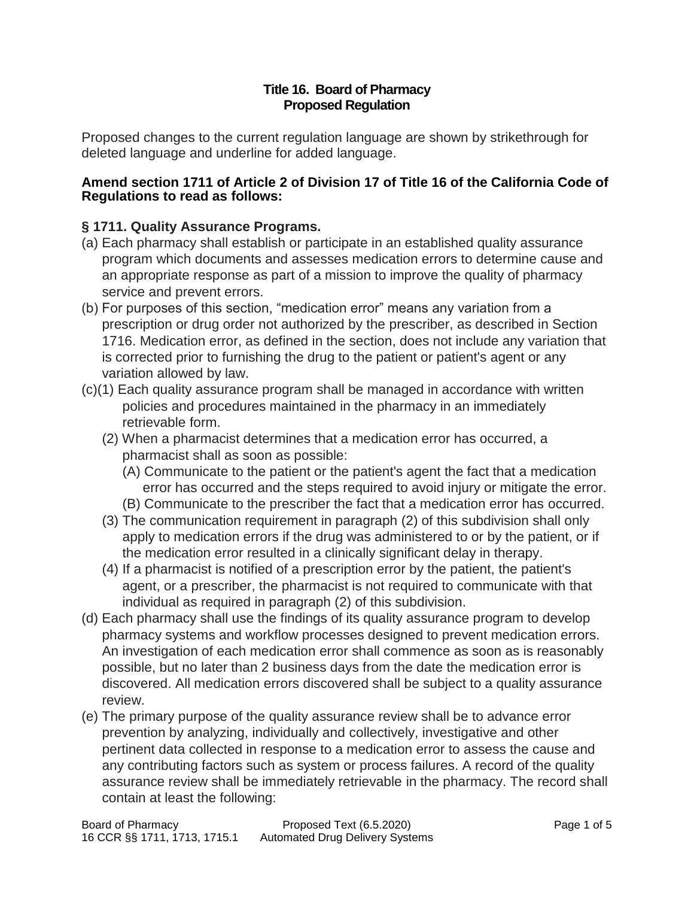#### **Title 16. Board of Pharmacy Proposed Regulation**

Proposed changes to the current regulation language are shown by strikethrough for deleted language and underline for added language.

#### **Amend section 1711 of Article 2 of Division 17 of Title 16 of the California Code of Regulations to read as follows:**

# **§ 1711. Quality Assurance Programs.**

- (a) Each pharmacy shall establish or participate in an established quality assurance program which documents and assesses medication errors to determine cause and an appropriate response as part of a mission to improve the quality of pharmacy service and prevent errors.
- (b) For purposes of this section, "medication error" means any variation from a prescription or drug order not authorized by the prescriber, as described in Section 1716. Medication error, as defined in the section, does not include any variation that is corrected prior to furnishing the drug to the patient or patient's agent or any variation allowed by law.
- (c)(1) Each quality assurance program shall be managed in accordance with written policies and procedures maintained in the pharmacy in an immediately retrievable form.
	- (2) When a pharmacist determines that a medication error has occurred, a pharmacist shall as soon as possible:
		- (A) Communicate to the patient or the patient's agent the fact that a medication error has occurred and the steps required to avoid injury or mitigate the error.
		- (B) Communicate to the prescriber the fact that a medication error has occurred.
	- (3) The communication requirement in paragraph (2) of this subdivision shall only apply to medication errors if the drug was administered to or by the patient, or if the medication error resulted in a clinically significant delay in therapy.
	- (4) If a pharmacist is notified of a prescription error by the patient, the patient's agent, or a prescriber, the pharmacist is not required to communicate with that individual as required in paragraph (2) of this subdivision.
- (d) Each pharmacy shall use the findings of its quality assurance program to develop pharmacy systems and workflow processes designed to prevent medication errors. An investigation of each medication error shall commence as soon as is reasonably possible, but no later than 2 business days from the date the medication error is discovered. All medication errors discovered shall be subject to a quality assurance review.
- (e) The primary purpose of the quality assurance review shall be to advance error prevention by analyzing, individually and collectively, investigative and other pertinent data collected in response to a medication error to assess the cause and any contributing factors such as system or process failures. A record of the quality assurance review shall be immediately retrievable in the pharmacy. The record shall contain at least the following: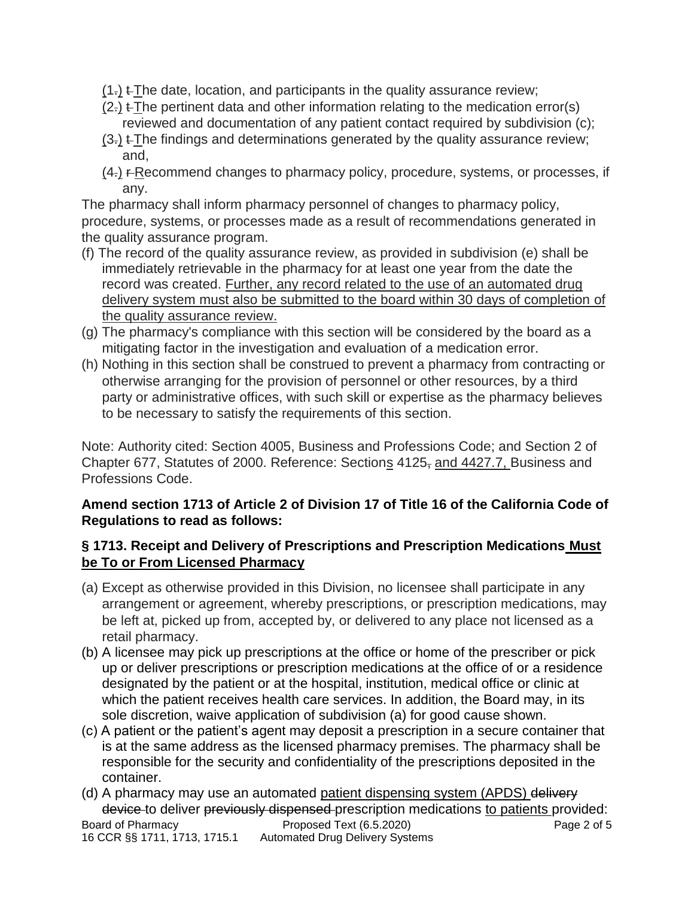- $(1)$   $\leftarrow$  The date, location, and participants in the quality assurance review;
- $(2)$  t The pertinent data and other information relating to the medication error(s) reviewed and documentation of any patient contact required by subdivision (c);
- $(3)$ .  $\pm$ The findings and determinations generated by the quality assurance review; and,
- $(4)$  F-Recommend changes to pharmacy policy, procedure, systems, or processes, if any.

The pharmacy shall inform pharmacy personnel of changes to pharmacy policy, procedure, systems, or processes made as a result of recommendations generated in the quality assurance program.

- (f) The record of the quality assurance review, as provided in subdivision (e) shall be immediately retrievable in the pharmacy for at least one year from the date the record was created. Further, any record related to the use of an automated drug delivery system must also be submitted to the board within 30 days of completion of the quality assurance review.
- (g) The pharmacy's compliance with this section will be considered by the board as a mitigating factor in the investigation and evaluation of a medication error.
- (h) Nothing in this section shall be construed to prevent a pharmacy from contracting or otherwise arranging for the provision of personnel or other resources, by a third party or administrative offices, with such skill or expertise as the pharmacy believes to be necessary to satisfy the requirements of this section.

Note: Authority cited: Section 4005, Business and Professions Code; and Section 2 of Chapter 677, Statutes of 2000. Reference: Sections 4125, and 4427.7, Business and Professions Code.

## **Amend section 1713 of Article 2 of Division 17 of Title 16 of the California Code of Regulations to read as follows:**

## **§ 1713. Receipt and Delivery of Prescriptions and Prescription Medications Must be To or From Licensed Pharmacy**

- (a) Except as otherwise provided in this Division, no licensee shall participate in any arrangement or agreement, whereby prescriptions, or prescription medications, may be left at, picked up from, accepted by, or delivered to any place not licensed as a retail pharmacy.
- (b) A licensee may pick up prescriptions at the office or home of the prescriber or pick up or deliver prescriptions or prescription medications at the office of or a residence designated by the patient or at the hospital, institution, medical office or clinic at which the patient receives health care services. In addition, the Board may, in its sole discretion, waive application of subdivision (a) for good cause shown.
- (c) A patient or the patient's agent may deposit a prescription in a secure container that is at the same address as the licensed pharmacy premises. The pharmacy shall be responsible for the security and confidentiality of the prescriptions deposited in the container.
- Board of Pharmacy **Proposed Text (6.5.2020)** Page 2 of 5 16 CCR §§ 1711, 1713, 1715.1 Automated Drug Delivery Systems (d) A pharmacy may use an automated patient dispensing system (APDS) delivery device to deliver previously dispensed prescription medications to patients provided: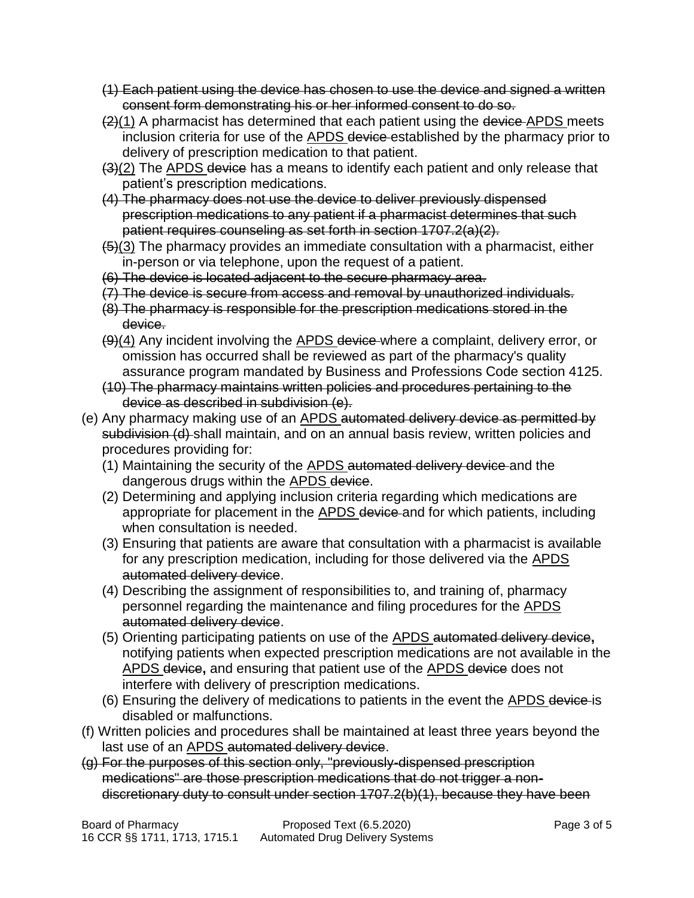- (1) Each patient using the device has chosen to use the device and signed a written consent form demonstrating his or her informed consent to do so.
- $(2)(1)$  A pharmacist has determined that each patient using the device APDS meets inclusion criteria for use of the APDS device established by the pharmacy prior to delivery of prescription medication to that patient.
- (3)(2) The APDS device has a means to identify each patient and only release that patient's prescription medications.
- (4) The pharmacy does not use the device to deliver previously dispensed prescription medications to any patient if a pharmacist determines that such patient requires counseling as set forth in section 1707.2(a)(2).
- $\frac{1}{10}$ (3) The pharmacy provides an immediate consultation with a pharmacist, either in-person or via telephone, upon the request of a patient.
- (6) The device is located adjacent to the secure pharmacy area.
- (7) The device is secure from access and removal by unauthorized individuals.
- (8) The pharmacy is responsible for the prescription medications stored in the device.
- (9)(4) Any incident involving the APDS device where a complaint, delivery error, or omission has occurred shall be reviewed as part of the pharmacy's quality assurance program mandated by Business and Professions Code section 4125.
- (10) The pharmacy maintains written policies and procedures pertaining to the device as described in subdivision (e).
- (e) Any pharmacy making use of an **APDS** automated delivery device as permitted by subdivision (d) shall maintain, and on an annual basis review, written policies and procedures providing for:
	- (1) Maintaining the security of the **APDS** automated delivery device and the dangerous drugs within the APDS device.
	- (2) Determining and applying inclusion criteria regarding which medications are appropriate for placement in the **APDS** device and for which patients, including when consultation is needed.
	- (3) Ensuring that patients are aware that consultation with a pharmacist is available for any prescription medication, including for those delivered via the **APDS** automated delivery device.
	- (4) Describing the assignment of responsibilities to, and training of, pharmacy personnel regarding the maintenance and filing procedures for the APDS automated delivery device.
	- (5) Orienting participating patients on use of the APDS automated delivery device**,**  notifying patients when expected prescription medications are not available in the APDS device**,** and ensuring that patient use of the APDS device does not interfere with delivery of prescription medications.
	- (6) Ensuring the delivery of medications to patients in the event the APDS device is disabled or malfunctions.
- (f) Written policies and procedures shall be maintained at least three years beyond the last use of an APDS automated delivery device.
- (g) For the purposes of this section only, "previously-dispensed prescription medications" are those prescription medications that do not trigger a nondiscretionary duty to consult under section 1707.2(b)(1), because they have been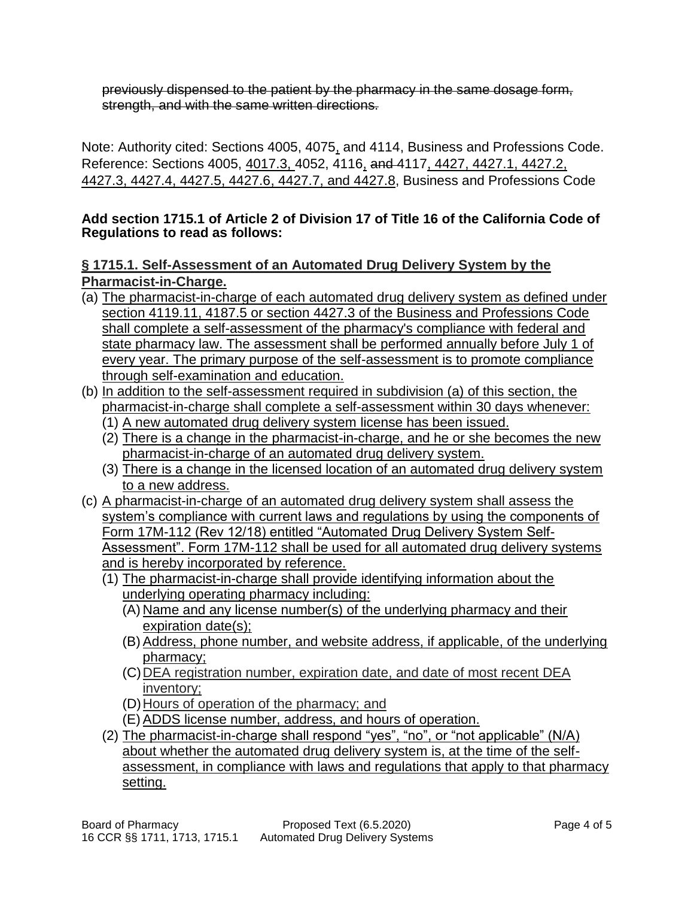previously dispensed to the patient by the pharmacy in the same dosage form, strength, and with the same written directions.

Note: Authority cited: Sections 4005, 4075, and 4114, Business and Professions Code. Reference: Sections 4005, 4017.3, 4052, 4116, and 4117, 4427, 4427.1, 4427.2, 4427.3, 4427.4, 4427.5, 4427.6, 4427.7, and 4427.8, Business and Professions Code

### **Add section 1715.1 of Article 2 of Division 17 of Title 16 of the California Code of Regulations to read as follows:**

**§ 1715.1. Self-Assessment of an Automated Drug Delivery System by the Pharmacist-in-Charge.**

- (a) The pharmacist-in-charge of each automated drug delivery system as defined under section 4119.11, 4187.5 or section 4427.3 of the Business and Professions Code shall complete a self-assessment of the pharmacy's compliance with federal and state pharmacy law. The assessment shall be performed annually before July 1 of every year. The primary purpose of the self-assessment is to promote compliance through self-examination and education.
- (b) In addition to the self-assessment required in subdivision (a) of this section, the pharmacist-in-charge shall complete a self-assessment within 30 days whenever:
	- (1) A new automated drug delivery system license has been issued.
	- (2) There is a change in the pharmacist-in-charge, and he or she becomes the new pharmacist-in-charge of an automated drug delivery system.
	- (3) There is a change in the licensed location of an automated drug delivery system to a new address.
- (c) A pharmacist-in-charge of an automated drug delivery system shall assess the system's compliance with current laws and regulations by using the components of Form 17M-112 (Rev 12/18) entitled "Automated Drug Delivery System Self-Assessment". Form 17M-112 shall be used for all automated drug delivery systems and is hereby incorporated by reference.
	- (1) The pharmacist-in-charge shall provide identifying information about the underlying operating pharmacy including:
		- (A) Name and any license number(s) of the underlying pharmacy and their expiration date(s);
		- (B) Address, phone number, and website address, if applicable, of the underlying pharmacy;
		- (C) DEA registration number, expiration date, and date of most recent DEA inventory;
		- (D)Hours of operation of the pharmacy; and
		- (E) ADDS license number, address, and hours of operation.
	- (2) The pharmacist-in-charge shall respond "yes", "no", or "not applicable" (N/A) about whether the automated drug delivery system is, at the time of the selfassessment, in compliance with laws and regulations that apply to that pharmacy setting.